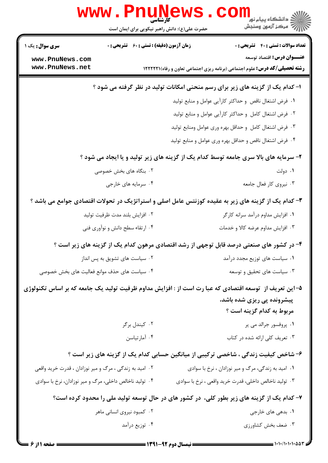|                                                                                                        | WWW.Pnung<br>حضرت علی(ع): دانش راهبر نیکویی برای ایمان است |  | د دانشگاه پيام نور<br>ا∛ مرکز آزمون وسنجش                                                                                      |  |
|--------------------------------------------------------------------------------------------------------|------------------------------------------------------------|--|--------------------------------------------------------------------------------------------------------------------------------|--|
| <b>سری سوال :</b> یک ۱                                                                                 | <b>زمان آزمون (دقیقه) : تستی : 60 ٪ تشریحی : 0</b>         |  | <b>تعداد سوالات : تستي : 40 ٪ تشريحي : 0</b>                                                                                   |  |
| www.PnuNews.com<br>www.PnuNews.net                                                                     |                                                            |  | <b>عنـــوان درس:</b> اقتصاد توسعه<br><b>رشته تحصیلی/کد درس:</b> علوم اجتماعی (برنامه ریزی اجتماعی تعاون و رفاه) <b>۱۲۲۲۲۲۱</b> |  |
| ا- کدام یک از گزینه های زیر برای رسم منحنی امکانات تولید در نظر گرفته می شود ؟                         |                                                            |  |                                                                                                                                |  |
|                                                                                                        |                                                            |  | ٠١ فرض اشتغال ناقص و حداكثر كارآيي عوامل و منابع توليد                                                                         |  |
| ۰۲ فرض اشتغال کامل و حداکثر کارآیی عوامل و منابع تولید                                                 |                                                            |  |                                                                                                                                |  |
|                                                                                                        | ۰۳ فرض اشتغال کامل و حداقل بهره وری عوامل ومنابع تولید     |  |                                                                                                                                |  |
|                                                                                                        |                                                            |  | ۰۴ فرض اشتغال ناقص و حداقل بهره وری عوامل و منابع تولید                                                                        |  |
| ۲- سرمایه های بالا سری جامعه توسط کدام یک از گزینه های زیر تولید و یا ایجاد می شود ؟                   |                                                            |  |                                                                                                                                |  |
|                                                                                                        | ۰۲ بنگاه های بخش خصوصی                                     |  | ۰۱ دولت                                                                                                                        |  |
|                                                                                                        | ۰۴ سرمایه های خارجی                                        |  | ۰۳ نیروی کار فعال جامعه                                                                                                        |  |
|                                                                                                        |                                                            |  | ۳- کدام یک از گزینه های زیر به عقیده کوزنتس عامل اصلی و استراتژیک در تحولات اقتصادی جوامع می باشد ؟                            |  |
|                                                                                                        | ۰۲ افزایش بلند مدت ظرفیت تولید                             |  | ۰۱ افزایش مداوم درآمد سرانه کارگر                                                                                              |  |
|                                                                                                        | ۰۴ ارتقاء سطح دانش و نوآوری فنی                            |  | ۰۳ افزایش مداوم عرضه کالا و خدمات                                                                                              |  |
|                                                                                                        |                                                            |  | ۴- در کشور های صنعتی درصد قابل توجهی از رشد اقتصادی مرهون کدام یک از گزینه های زیر است ؟                                       |  |
|                                                                                                        | ۰۲ سیاست های تشویق به پس انداز                             |  | ۰۱ سیاست های توزیع مجدد درآمد                                                                                                  |  |
| ۰۴ سیاست های حذف موانع فعالیت های بخش خصوصی                                                            |                                                            |  | ۰۳ سیاست های تحقیق و توسعه                                                                                                     |  |
| ۵–این تعریف از  توسعه اقتصادی که عبا رت است از : افزایش مداوم ظرفیت تولید یک جامعه که بر اساس تکنولوژی |                                                            |  |                                                                                                                                |  |
|                                                                                                        |                                                            |  | پیشرونده پی ریزی شده باشد،                                                                                                     |  |
|                                                                                                        |                                                            |  | مربوط به کدام گزینه است ؟                                                                                                      |  |
|                                                                                                        | ۰۲ کیندل برگر                                              |  | ۰۱ پروفسور جرالد می پر                                                                                                         |  |
|                                                                                                        | ۰۴ آمارتياسن                                               |  | ۰۳ تعریف کلی ارائه شده در کتاب                                                                                                 |  |
| ۶- شاخص کیفیت زندگی ، شاخصی ترکیبی از میانگین حسابی کدام یک از گزینه های زیر است ؟                     |                                                            |  |                                                                                                                                |  |
| ۰۲ امید به زندگی ، مرگ و میر نوزادان ، قدرت خرید واقعی                                                 |                                                            |  | ۰۱ امید به زندگی، مرگ و میر نوزادان ، نرخ با سوادی                                                                             |  |
| ۰۴ تولید ناخالص داخلی، مرگ و میر نوزادان، نرخ با سوادی                                                 |                                                            |  | ۰۳ تولید ناخالص داخلی، قدرت خرید واقعی ، نرخ با سوادی                                                                          |  |
|                                                                                                        |                                                            |  | ۷- کدام یک از گزینه های زیر بطور کلی، در کشور های در حال توسعه تولید ملی را محدود کرده است؟                                    |  |
|                                                                                                        | ۰۲ کمبود نیروی انسانی ماهر                                 |  | ۰۱ بدهی های خارجی                                                                                                              |  |
|                                                                                                        | ۰۴ توزیع درآمد                                             |  | ۰۳ ضعف بخش كشاورزي                                                                                                             |  |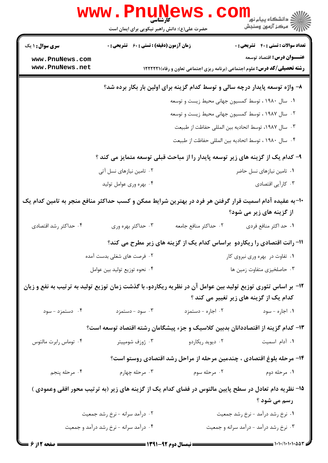|                                                                                                                                                         | <b>www.Pnunews</b><br>حضرت علی(ع): دانش راهبر نیکویی برای ایمان است |                                            | لاد دانشگاه پيام نور<br>الاه مرکز آزمون وسنجش                                     |
|---------------------------------------------------------------------------------------------------------------------------------------------------------|---------------------------------------------------------------------|--------------------------------------------|-----------------------------------------------------------------------------------|
| <b>سری سوال : ۱ یک</b>                                                                                                                                  | <b>زمان آزمون (دقیقه) : تستی : 60 ٪ تشریحی : 0</b>                  |                                            | <b>تعداد سوالات : تستی : 40 ٪ تشریحی : 0</b>                                      |
| www.PnuNews.com                                                                                                                                         |                                                                     |                                            | <b>عنـــوان درس:</b> اقتصاد توسعه                                                 |
| www.PnuNews.net                                                                                                                                         |                                                                     |                                            | <b>رشته تحصیلی/کد درس:</b> علوم اجتماعی (برنامه ریزی اجتماعی تعاون و رفاه)(۱۲۲۲۲۲ |
|                                                                                                                                                         |                                                                     |                                            | ۸– واژه توسعه پایدار درچه سالی و توسط کدام گزینه برای اولین بار بکار برده شد؟     |
|                                                                                                                                                         |                                                                     |                                            | ۰۱ سال ۱۹۸۰ ، توسط کمسیون جهانی محیط زیست و توسعه                                 |
|                                                                                                                                                         |                                                                     |                                            | ۰۲ سال ۱۹۸۷ ، توسط کمسیون جهانی محیط زیست و توسعه                                 |
|                                                                                                                                                         |                                                                     |                                            | ۰۳ سال ۱۹۸۷، توسط اتحادیه بین المللی حفاظت از طبیعت                               |
|                                                                                                                                                         |                                                                     |                                            | ۰۴ سال ۱۹۸۰، توسط اتحادیه بین المللی حفاظت از طبیعت                               |
| ۹- کدام یک از گزینه های زیر توسعه پایدار را از مباحث قبلی توسعه متمایز می کند ؟                                                                         |                                                                     |                                            |                                                                                   |
|                                                                                                                                                         | ۰۲ تامین نیازهای نسل آتی                                            |                                            | ۰۱ تامین نیازهای نسل حاضر                                                         |
|                                                                                                                                                         | ۰۴ بهره وري عوامل توليد                                             |                                            | ۰۳ کارآیی اقتصادی                                                                 |
| ۱۰-به عقیده آدام اسمیت قرار گرفتن هر فرد در بهترین شرایط ممکن و کسب حداکثر منافع منجر به تامین کدام یک<br>از گزینه های زیر می شود؟                      |                                                                     |                                            |                                                                                   |
| ۰۴ حداکثر رشد اقتصادی                                                                                                                                   | ۰۳ حداکثر بهره وری                                                  | ٠٢ حداكثر منافع جامعه                      | ٠١ حد اكثر منافع فردي                                                             |
|                                                                                                                                                         |                                                                     |                                            | 11- رانت اقتصادی را ریکاردو ۖ براساس کدام یک از گزینه های زیر مطرح می کند؟        |
|                                                                                                                                                         | ۰۲ فرصت های شغلی بدست آمده                                          |                                            | ۰۱ تفاوت در بهره وری نیروی کار                                                    |
|                                                                                                                                                         | ۰۴ نحوه توزیع تولید بین عوامل                                       |                                            | ۰۳ حاصلخیزی متفاوت زمین ها                                                        |
| ۱۲- بر اساس تئوری توزیع تولید بین عوامل آن در نظریه ریکاردو، با گذشت زمان توزیع تولید به ترتیب به نفع و زیان<br>کدام یک از گزینه های زیر تغییر می کند ؟ |                                                                     |                                            |                                                                                   |
| ۰۴ دستمزد - سود                                                                                                                                         | ۰۳ سود - دستمزد                                                     | ۰۲ اجاره - دستمزد                          | ۰۱ اجاره - سود                                                                    |
|                                                                                                                                                         |                                                                     |                                            | ۱۳– کدام گزینه از اقتصاددانان بدبین کلاسیک و جزء پیشگامان رشته اقتصاد توسعه است؟  |
| ۰۴ توماس رابرت مالتوس                                                                                                                                   |                                                                     | ۰۲ دیوید ریکاردو هسته استان توزف شومپیتر . | ٠١ آدام اسميت                                                                     |
|                                                                                                                                                         |                                                                     |                                            | ۱۴- مرحله بلوغ اقتصادی ، چندمین مرحله از مراحل رشد اقتصادی روستو است؟             |
| ۰۴ مرحله پنجم                                                                                                                                           | ۰۳ مرحله چهارم                                                      | ۰۲ مرحله سوم                               | ۰۱ مرحله دوم                                                                      |
| 1۵– نظریه دام تعادل در سطح پایین مالتوس در فضای کدام یک از گزینه های زیر (به ترتیب محور افقی وعمودی )                                                   |                                                                     |                                            |                                                                                   |
|                                                                                                                                                         |                                                                     |                                            | رسم می شود ؟                                                                      |
|                                                                                                                                                         | ۰۲ درآمد سرانه -نرخ رشد جمعیت                                       |                                            | ۰۱ نرخ رشد درآمد - نرخ رشد جمعیت                                                  |
|                                                                                                                                                         | ۰۴ درآمد سرانه - نرخ رشد درآمد و جمعیت                              |                                            | ۰۳ نرخ رشد درآمد - درآمد سرانه و جمعیت                                            |
| <b>= صفحه 2 از 6 =</b>                                                                                                                                  |                                                                     | <b>ـــــ نیمسال دوم ۶۲-۱۳۹۱ ــــ</b>       |                                                                                   |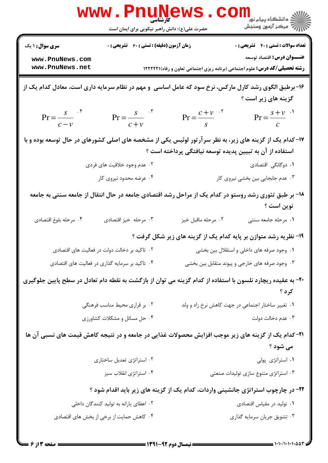|                                                                                                             | <b>www.Pnun</b><br><b>کارشناسی</b><br>حضرت علی(ع): دانش راهبر نیکویی برای ایمان است |                                                          | ر دانشڪاه پيام نور "<br> 7 مرکز آزمون وسنڊش                                                                         |
|-------------------------------------------------------------------------------------------------------------|-------------------------------------------------------------------------------------|----------------------------------------------------------|---------------------------------------------------------------------------------------------------------------------|
| <b>سری سوال : ۱ یک</b>                                                                                      | <b>زمان آزمون (دقیقه) : تستی : 60 ٪ تشریحی : 0</b>                                  |                                                          | <b>تعداد سوالات : تستي : 40 ٪ تشريحي : 0</b>                                                                        |
| www.PnuNews.com<br>www.PnuNews.net                                                                          |                                                                                     |                                                          | <b>عنـــوان درس:</b> اقتصاد توسعه                                                                                   |
|                                                                                                             |                                                                                     |                                                          | <b>رشته تحصیلی/کد درس:</b> علوم اجتماعی (برنامه ریزی اجتماعی تعاون و رفاه)(۱۲۲۲۲۱                                   |
| ۱۶- برطبق الگوی رشد کارل مارکس، نرخ سود که عامل اساسی ً و مهم در نظام سرمایه داری است، معادل کدام یک از     |                                                                                     |                                                          | گزینه های زیر است ؟                                                                                                 |
| $Pr = \frac{s}{c-v}$ f                                                                                      | $Pr = \frac{s}{c+v}$ <sup>"</sup>                                                   | $Pr = \frac{c + v}{s}$                                   | $Pr = \frac{s + v}{c}$                                                                                              |
| ۱۷– کدام یک از گزینه های زیر، به نظر سرآرتور لوئیس یکی از مشخصه های اصلی کشورهای در حال توسعه بوده و با     |                                                                                     |                                                          |                                                                                                                     |
|                                                                                                             |                                                                                     | استفاده از آن به تبیین پدیده توسعه نیافتگی پرداخته است ؟ |                                                                                                                     |
|                                                                                                             | ۰۲ عدم وجود خلاقیت های فردی                                                         |                                                          | ۰۱ دوگانگی اقتصادی                                                                                                  |
|                                                                                                             | ۰۴ عرضه محدود نیروی کار                                                             |                                                          | ۰۳ عدم جابجایی بین بخشی نیروی کار                                                                                   |
|                                                                                                             |                                                                                     |                                                          | ۱۸– بر طبق تئوری رشد روستو در کدام یک از مراحل رشد اقتصادی جامعه در حال انتقال از جامعه سنتی به جامعه<br>نوين است ؟ |
| ۰۴ مرحله بلوغ اقتصادي                                                                                       | ۰۳ مرحله خيز اقتصادى                                                                | ٠٢ مرحله ماقبل خيز                                       | ۰۱ مرحله جامعه سنتی                                                                                                 |
|                                                                                                             |                                                                                     |                                                          | ۱۹- نظریه رشد متوازن بر پایه کدام یک از گزینه های زیر شکل گرفت ؟                                                    |
|                                                                                                             | ۰۲ تاکید بر دخالت دولت در فعالیت های اقتصادی                                        |                                                          | ۰۱ وجود صرفه های داخلی و استقلال بین بخشی                                                                           |
|                                                                                                             | ۰۴ تاکید بر سرمایه گذاری در فعالیت های اقتصادی                                      |                                                          | ۰۳ وجود صرفه های خارجی و پیوند متقابل بین بخشی                                                                      |
| +۲- به عقیده ریچارد نلسون با استفاده از کدام گزینه می توان از بازگشت به نقطه دام تعادل در سطح پایین جلوگیری |                                                                                     |                                                          | کرد ؟                                                                                                               |
|                                                                                                             | ٢. بر قراري محيط مناسب فرهنگي                                                       |                                                          | ۰۱ تغییر ساختار اجتماعی در جهت کاهش نرخ زاد و ولد                                                                   |
|                                                                                                             | ۰۴ حل مسائل و مشکلات کشاورزی                                                        |                                                          | ۰۳ عدم دخالت دولت                                                                                                   |
| <b>۲۱</b> – کدام یک از گزینه های زیر موجب افزایش محصولات غذایی در جامعه و در نتیجه کاهش قیمت های نسبی آن ها |                                                                                     |                                                          |                                                                                                                     |
|                                                                                                             |                                                                                     |                                                          | می شود ؟                                                                                                            |
|                                                                                                             | ۰۲ استراتژی تعدیل ساختاری                                                           |                                                          | ٠١ استراتژى پولى                                                                                                    |
|                                                                                                             | ۰۴ استراتژی انقلاب سبز                                                              |                                                          | ۰۳ استراتژی متنوع سازی تولیدات صنعتی                                                                                |
|                                                                                                             |                                                                                     |                                                          | ۲۲- در چارچوب استراتژی جانشینی واردات، کدام یک از گزینه های زیر باید اقدام شود ؟                                    |
|                                                                                                             | ۰۲ اعطای یارانه به تولید کنندگان داخلی                                              |                                                          | ۰۱ تولید در مقیاس اقتصادی                                                                                           |
|                                                                                                             | ۰۴ کاهش حمایت از برخی از بخش های اقتصادی                                            |                                                          | ۰۳ تشويق جريان سرمايه گذاري                                                                                         |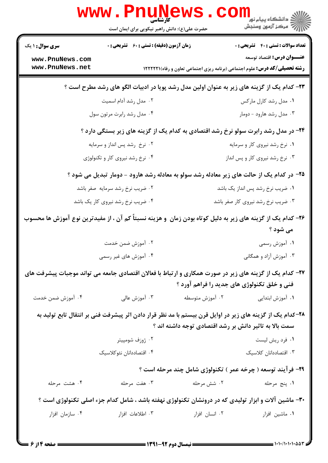|                                                                                            | <b>www . Pnu</b><br>کارشناسی<br>حضرت علی(ع): دانش راهبر نیکویی برای ایمان است                               |                                                        | ر دانشڪاه پيام نور ■<br>ا∛ مرکز آزمون وسنڊش                                                                                     |
|--------------------------------------------------------------------------------------------|-------------------------------------------------------------------------------------------------------------|--------------------------------------------------------|---------------------------------------------------------------------------------------------------------------------------------|
| <b>سری سوال : ۱ یک</b>                                                                     | <b>زمان آزمون (دقیقه) : تستی : 60 ٪ تشریحی : 0</b>                                                          |                                                        | <b>تعداد سوالات : تستي : 40 - تشريحي : 0</b>                                                                                    |
| www.PnuNews.com<br>www.PnuNews.net                                                         |                                                                                                             |                                                        | <b>عنـــوان درس:</b> اقتصاد توسعه<br><b>رشته تحصیلی/کد درس:</b> علوم اجتماعی (برنامه ریزی اجتماعی تعاون و رفاه) <b>۱۲۲۲۲۱</b> ۱ |
| ۲۳– کدام یک از گزینه های زیر به عنوان اولین مدل رشد پویا در ادبیات الگو های رشد مطرح است ؟ |                                                                                                             |                                                        |                                                                                                                                 |
|                                                                                            | ۰۲ مدل رشد آدام اسمیت                                                                                       |                                                        | ۰۱ مدل رشد کارل مارکس                                                                                                           |
|                                                                                            | ۰۴ مدل رشد رابرت مرتون سول                                                                                  |                                                        | ۰۳ مدل رشد هارود - دومار                                                                                                        |
| ۲۴- در مدل رشد رابرت سولو نرخ رشد اقتصادی به کدام یک از گزینه های زیر بستگی دارد ؟         |                                                                                                             |                                                        |                                                                                                                                 |
|                                                                                            | ۰۲ نرخ رشد پس انداز و سرمایه                                                                                |                                                        | ۰۱ نرخ رشد نیروی کار و سرمایه                                                                                                   |
|                                                                                            | ۰۴ نرخ رشد نیروی کار و تکنولوژی                                                                             |                                                        | ۰۳ نرخ رشد نیروی کار و پس انداز                                                                                                 |
|                                                                                            | ۲۵- در کدام یک از حالت های زیر معادله رشد سولو به معادله رشد هارود - دومار تبدیل می شود ؟                   |                                                        |                                                                                                                                 |
|                                                                                            | ۰۲ ضریب نرخ رشد سرمایه صفر باشد                                                                             |                                                        | ۰۱ ضریب نرخ رشد پس انداز یک باشد                                                                                                |
|                                                                                            | ۰۴ ضریب نرخ رشد نیروی کار یک باشد                                                                           |                                                        | ۰۳ ضریب نرخ رشد نیروی کار صفر باشد                                                                                              |
|                                                                                            | ۲۶– کدام یک از گزینه های زیر به دلیل کوتاه بودن زمان ًو هزینه نسبتاً کم آن ، از مفیدترین نوع آموزش ها محسوب |                                                        |                                                                                                                                 |
|                                                                                            |                                                                                                             |                                                        | می شود ؟                                                                                                                        |
|                                                                                            | ۰۲ آموزش ضمن خدمت                                                                                           |                                                        | ۰۱ آموزش رسمی                                                                                                                   |
|                                                                                            | ۰۴ آموزش های غیر رسمی                                                                                       |                                                        | ۰۳ آموزش آزاد و همگانی                                                                                                          |
|                                                                                            | ۲۷– کدام یک از گزینه های زیر در صورت همکاری و ارتباط با فعالان اقتصادی جامعه می تواند موجبات پیشرفت های     |                                                        |                                                                                                                                 |
|                                                                                            |                                                                                                             |                                                        | فنی و خلق تکنولوژی های جدید را فراهم آورد ؟                                                                                     |
| ۰۴ آموزش ضمن خدمت                                                                          | ۰۳ آموزش عالی                                                                                               | ۰۲ آموزش متوسطه                                        | ۰۱ آموزش ابتدایی                                                                                                                |
|                                                                                            | ۲۸–کدام یک از گزینه های زیر در اوایل قرن بیستم با مد نظر قرار دادن اثر پیشرفت فنی بر انتقال تابع تولید به   |                                                        |                                                                                                                                 |
|                                                                                            |                                                                                                             | سمت بالا به تاثیر دانش بر رشد اقتصادی توجه داشته اند ؟ |                                                                                                                                 |
|                                                                                            | ۰۲ ژوزف شومپيتر                                                                                             |                                                        | ۰۱ فرد ريش ليست                                                                                                                 |
|                                                                                            | ۰۴ اقتصاددانان نئوكلاسيك                                                                                    |                                                        | ٠٣ اقتصاددانان كلاسيك                                                                                                           |
|                                                                                            |                                                                                                             |                                                        | ۲۹- فرآیند توسعه ( چرخه عمر ) تکنولوژی شامل چند مرحله است ؟                                                                     |
| ۰۴ هشت مرحله                                                                               | ۰۳ هفت مرحله                                                                                                | ۰۲ شش مرحله                                            | ٠١. پنج مرحله                                                                                                                   |
|                                                                                            | ۳۰- ماشین آلات و ابزار تولیدی که در درونشان تکنولوژی نهفته باشد ، شامل کدام جزء اصلی تکنولوژی است ؟         |                                                        |                                                                                                                                 |
| ۰۴ سازمان افزار                                                                            | ۰۳ اطلاعات افزار                                                                                            | ۰۲ انسان افزار                                         | ۰۱ ماشین افزار                                                                                                                  |
|                                                                                            |                                                                                                             |                                                        |                                                                                                                                 |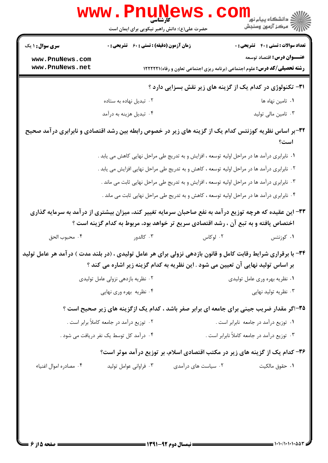|                                    | <b>www.PnuNews</b>                                                                  |                     |                                                                                                               |
|------------------------------------|-------------------------------------------------------------------------------------|---------------------|---------------------------------------------------------------------------------------------------------------|
|                                    | حضرت علی(ع): دانش راهبر نیکویی برای ایمان است                                       |                     |                                                                                                               |
| <b>سری سوال : ۱ یک</b>             | <b>زمان آزمون (دقیقه) : تستی : 60 ٪ تشریحی : 0</b>                                  |                     | <b>تعداد سوالات : تستی : 40 ٪ تشریحی : 0</b><br><b>عنـــوان درس:</b> اقتصاد توسعه                             |
| www.PnuNews.com<br>www.PnuNews.net |                                                                                     |                     | <b>رشته تحصیلی/کد درس:</b> علوم اجتماعی (برنامه ریزی اجتماعی تعاون و رفاه) <b>۱۲۲۲۲۱</b> ۱                    |
|                                    |                                                                                     |                     | <b>۳۱</b> - تکنولوژی در کدام یک از گزینه های زیر نقش بسزایی دارد ؟                                            |
|                                    | ۰۲ تبدیل نهاده به ستاده                                                             |                     | ۰۱ تامین نهاه ها                                                                                              |
|                                    | ۰۴ تبدیل هزینه به درآمد                                                             |                     | ۰۳ تامین مالی تولید                                                                                           |
|                                    |                                                                                     |                     | ۳۲-بر اساس نظریه کوزنتس کدام یک از گزینه های زیر در خصوص رابطه بین رشد اقتصادی و نابرابری در آمد صحیح<br>است؟ |
|                                    |                                                                                     |                     | ١. نابرابري درآمد ها در مراحل اوليه توسعه ، افزايش و به تدريج طي مراحل نهايي كاهش مي يابد .                   |
|                                    |                                                                                     |                     | ۰۲ نابرابری درآمد ها در مراحل اولیه توسعه ، کاهش و به تدریج طی مراحل نهایی افزایش می یابد .                   |
|                                    |                                                                                     |                     | ۰۳ نابرابری درآمد ها در مراحل اولیه توسعه ، افزایش و به تدریج طی مراحل نهایی ثابت می ماند .                   |
|                                    |                                                                                     |                     | ۰۴ نابرابری درآمد ها در مراحل اولیه توسعه ، کاهش و به تدریج طی مراحل نهایی ثابت می ماند .                     |
|                                    |                                                                                     |                     | ۳۳– این عقیده که هرچه توزیع درآمد به نفع صاحبان سرمایه تغییر کند، میزان بیشتری از درآمد به سرمایه گذاری       |
|                                    | اختصاص یافته و به تبع آن ، رشد اقتصادی سریع تر خواهد بود، مربوط به کدام گزینه است ؟ |                     |                                                                                                               |
| ۰۴ محبوب الحق                      | ۰۳ کالدور                                                                           | ۰۲ لوکاس            | ۰۱ کوزنتس                                                                                                     |
|                                    | بر اساس تولید نهایی آن تعیین می شود . این نظریه به کدام گزینه زیر اشاره می کند ؟    |                     | ۳۴- با برقراری شرایط رقابت کامل و قانون بازدهی نزولی برای هر عامل تولیدی ، (در بلند مدت ) درآمد هر عامل تولید |
|                                    | ۰۲ نظریه بازدهی نزولی عامل تولیدی                                                   |                     | ۰۱ نظریه بهره وری عامل تولیدی                                                                                 |
|                                    | ۰۴ نظریه بهره وری نهایی                                                             |                     | ۰۳ نظریه تولید نهایی                                                                                          |
|                                    |                                                                                     |                     | ۳۵-اگر مقدار ضریب جینی برای جامعه ای برابر صفر باشد ، کدام یک ازگزینه های زیر صحیح است ؟                      |
|                                    | ۰۲ توزیع درآمد در جامعه کاملاً برابر است .                                          |                     | ۰۱ توزیع درآمد در جامعه نابرابر است .                                                                         |
|                                    | ۰۴ درآمد کل توسط یک نفر دریافت می شود .                                             |                     | ۰۳ توزیع درآمد در جامعه کاملاً نابرابر است .                                                                  |
|                                    |                                                                                     |                     | ۳۶- کدام یک از گزینه های زیر در مکتب اقتصادی اسلام، بر توزیع درآمد موثر است؟                                  |
| ۰۴ مصادره اموال اغنياء             | ۰۳ فراوانی عوامل تولید                                                              | ۰۲ سیاست های درآمدی | ٠١. حقوق مالكيت                                                                                               |
|                                    |                                                                                     |                     |                                                                                                               |
|                                    |                                                                                     |                     |                                                                                                               |